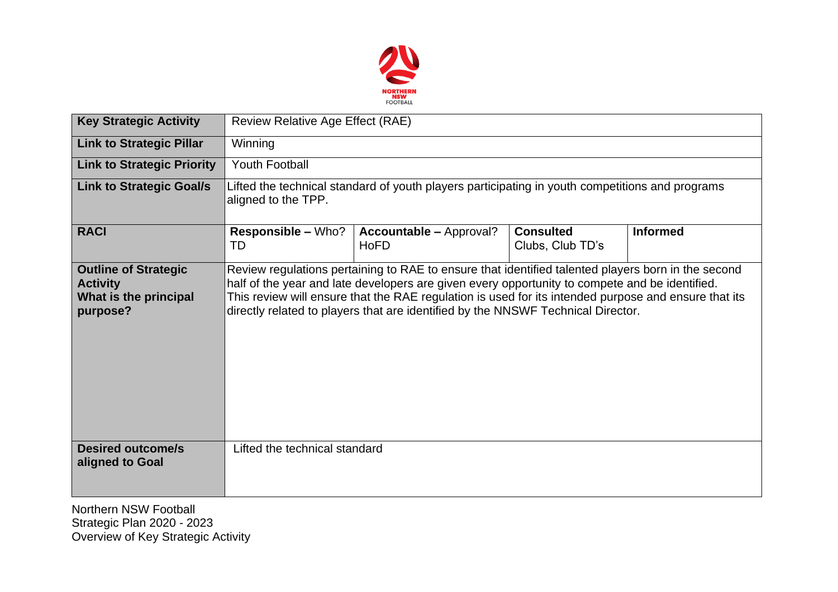

| <b>Key Strategic Activity</b>                                                       | Review Relative Age Effect (RAE)                                                                                       |                                                                                                                                                                                                                                                                                                                                                                                                  |                                      |                 |  |  |  |
|-------------------------------------------------------------------------------------|------------------------------------------------------------------------------------------------------------------------|--------------------------------------------------------------------------------------------------------------------------------------------------------------------------------------------------------------------------------------------------------------------------------------------------------------------------------------------------------------------------------------------------|--------------------------------------|-----------------|--|--|--|
| <b>Link to Strategic Pillar</b>                                                     | Winning                                                                                                                |                                                                                                                                                                                                                                                                                                                                                                                                  |                                      |                 |  |  |  |
| <b>Link to Strategic Priority</b>                                                   | <b>Youth Football</b>                                                                                                  |                                                                                                                                                                                                                                                                                                                                                                                                  |                                      |                 |  |  |  |
| <b>Link to Strategic Goal/s</b>                                                     | Lifted the technical standard of youth players participating in youth competitions and programs<br>aligned to the TPP. |                                                                                                                                                                                                                                                                                                                                                                                                  |                                      |                 |  |  |  |
| <b>RACI</b>                                                                         | <b>Responsible – Who?</b><br>TD                                                                                        | <b>Accountable - Approval?</b><br><b>HoFD</b>                                                                                                                                                                                                                                                                                                                                                    | <b>Consulted</b><br>Clubs, Club TD's | <b>Informed</b> |  |  |  |
| <b>Outline of Strategic</b><br><b>Activity</b><br>What is the principal<br>purpose? |                                                                                                                        | Review regulations pertaining to RAE to ensure that identified talented players born in the second<br>half of the year and late developers are given every opportunity to compete and be identified.<br>This review will ensure that the RAE regulation is used for its intended purpose and ensure that its<br>directly related to players that are identified by the NNSWF Technical Director. |                                      |                 |  |  |  |
| <b>Desired outcome/s</b><br>aligned to Goal                                         | Lifted the technical standard                                                                                          |                                                                                                                                                                                                                                                                                                                                                                                                  |                                      |                 |  |  |  |
| Northern NSW Football                                                               |                                                                                                                        |                                                                                                                                                                                                                                                                                                                                                                                                  |                                      |                 |  |  |  |

Strategic Plan 2020 - 2023 Overview of Key Strategic Activity